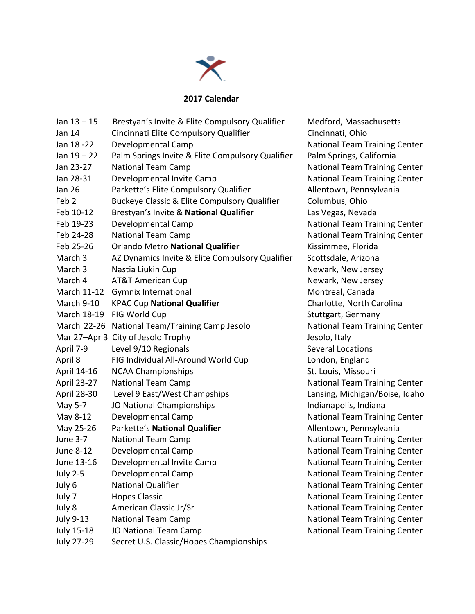

## **2017 Calendar**

| Jan $13 - 15$      | Brestyan's Invite & Elite Compulsory Qualifier   | Medford, Massachusetts               |
|--------------------|--------------------------------------------------|--------------------------------------|
| Jan 14             | Cincinnati Elite Compulsory Qualifier            | Cincinnati, Ohio                     |
| Jan 18 - 22        | Developmental Camp                               | National Team Training Center        |
| Jan $19 - 22$      | Palm Springs Invite & Elite Compulsory Qualifier | Palm Springs, California             |
| Jan 23-27          | <b>National Team Camp</b>                        | <b>National Team Training Center</b> |
| Jan 28-31          | Developmental Invite Camp                        | National Team Training Center        |
| <b>Jan 26</b>      | Parkette's Elite Compulsory Qualifier            | Allentown, Pennsylvania              |
| Feb <sub>2</sub>   | Buckeye Classic & Elite Compulsory Qualifier     | Columbus, Ohio                       |
| Feb 10-12          | Brestyan's Invite & National Qualifier           | Las Vegas, Nevada                    |
| Feb 19-23          | Developmental Camp                               | National Team Training Center        |
| Feb 24-28          | <b>National Team Camp</b>                        | <b>National Team Training Center</b> |
| Feb 25-26          | Orlando Metro National Qualifier                 | Kissimmee, Florida                   |
| March 3            | AZ Dynamics Invite & Elite Compulsory Qualifier  | Scottsdale, Arizona                  |
| March <sub>3</sub> | Nastia Liukin Cup                                | Newark, New Jersey                   |
| March 4            | <b>AT&amp;T American Cup</b>                     | Newark, New Jersey                   |
| March 11-12        | <b>Gymnix International</b>                      | Montreal, Canada                     |
| March 9-10         | <b>KPAC Cup National Qualifier</b>               | Charlotte, North Carolina            |
| March 18-19        | FIG World Cup                                    | Stuttgart, Germany                   |
| March 22-26        | National Team/Training Camp Jesolo               | National Team Training Center        |
|                    | Mar 27-Apr 3 City of Jesolo Trophy               | Jesolo, Italy                        |
| April 7-9          | Level 9/10 Regionals                             | <b>Several Locations</b>             |
| April 8            | FIG Individual All-Around World Cup              | London, England                      |
| April 14-16        | <b>NCAA Championships</b>                        | St. Louis, Missouri                  |
| April 23-27        | <b>National Team Camp</b>                        | National Team Training Center        |
| April 28-30        | Level 9 East/West Champships                     | Lansing, Michigan/Boise, Idaho       |
| May 5-7            | JO National Championships                        | Indianapolis, Indiana                |
| May 8-12           | Developmental Camp                               | National Team Training Center        |
| May 25-26          | Parkette's National Qualifier                    | Allentown, Pennsylvania              |
| <b>June 3-7</b>    | <b>National Team Camp</b>                        | National Team Training Center        |
| June 8-12          | Developmental Camp                               | National Team Training Center        |
| June 13-16         | Developmental Invite Camp                        | National Team Training Center        |
| July 2-5           | Developmental Camp                               | National Team Training Center        |
| July 6             | <b>National Qualifier</b>                        | <b>National Team Training Center</b> |
| July 7             | <b>Hopes Classic</b>                             | <b>National Team Training Center</b> |
| July 8             | American Classic Jr/Sr                           | National Team Training Center        |
| <b>July 9-13</b>   | <b>National Team Camp</b>                        | <b>National Team Training Center</b> |
| July 15-18         | JO National Team Camp                            | <b>National Team Training Center</b> |
| <b>July 27-29</b>  | Secret U.S. Classic/Hopes Championships          |                                      |